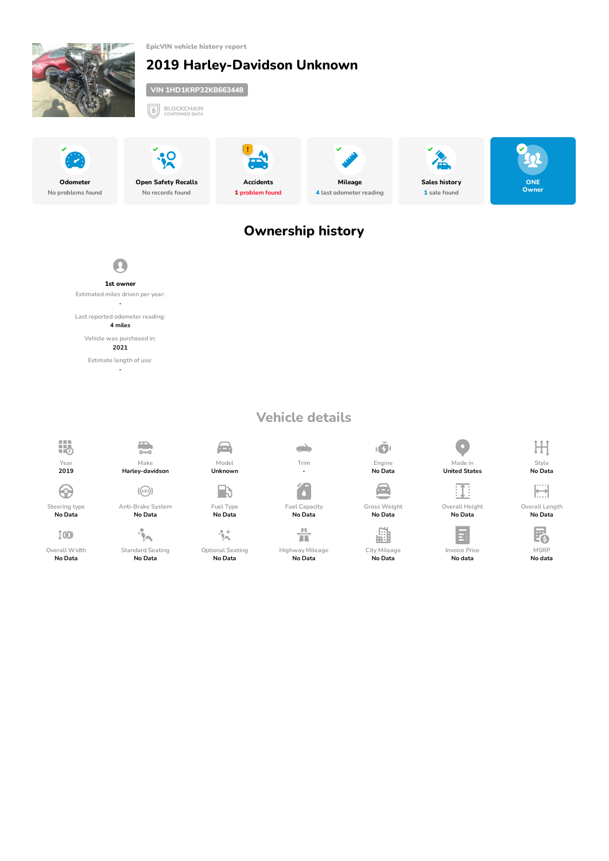<span id="page-0-0"></span>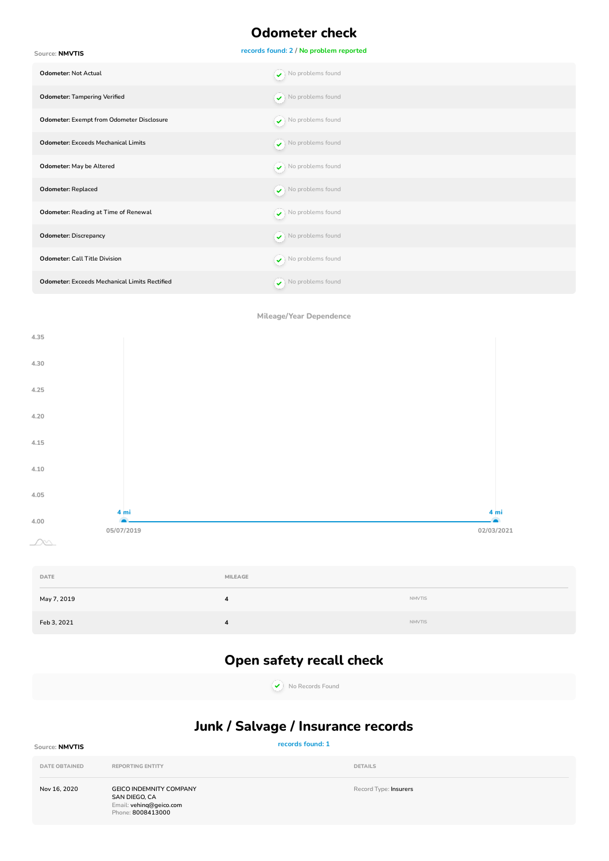## **Odometer check**

<span id="page-1-0"></span>**records found: 2 / No problem reported Source: NMVTIS Odometer:** Not Actual Note that the set of the set of the set of the set of  $\sim$  No problems found **Odometer: Tampering Verified No problems found** No problems found **Odometer: Exempt from Odometer Disclosure** Note that the set of the problems found **Odometer: Exceeds Mechanical Limits** Note that the set of the set of the set of the problems found **Odometer: May be Altered No problems found**  $\overline{\smile}$  No problems found **Odometer: Replaced** No problems found **Odometer: Reading at Time of Renewal Constant of Algebra**  $\bigcirc$  No problems found **Odometer: Discrepancy Contract Contract Contract Contract Contract Contract Contract Contract Contract Contract Contract Contract Contract Contract Contract Contract Contract Contract Contract Contract Contract Contract Odometer: Call Title Division** No problems found **Odometer: Exceeds Mechanical Limits Rectified**  $\left( \cdot \right)$  No problems found

**Mileage/Year Dependence**



<span id="page-1-2"></span><span id="page-1-1"></span>

| DATE        | MILEAGE |               |
|-------------|---------|---------------|
| May 7, 2019 | д       | <b>NMVTIS</b> |
| Feb 3, 2021 | д       | <b>NMVTIS</b> |

## **Open safety recall check**

**No Records Found**

## **Junk / Salvage / Insurance records**

### **records found: 1 Source: NMVTIS DATE OBTAINED REPORTING ENTITY DETAILS Nov 16, 2020 GEICO INDEMNITY COMPANY SAN DIEGO, CA Email: vehinq@geico.com Phone: 8008413000 Record Type: Insurers**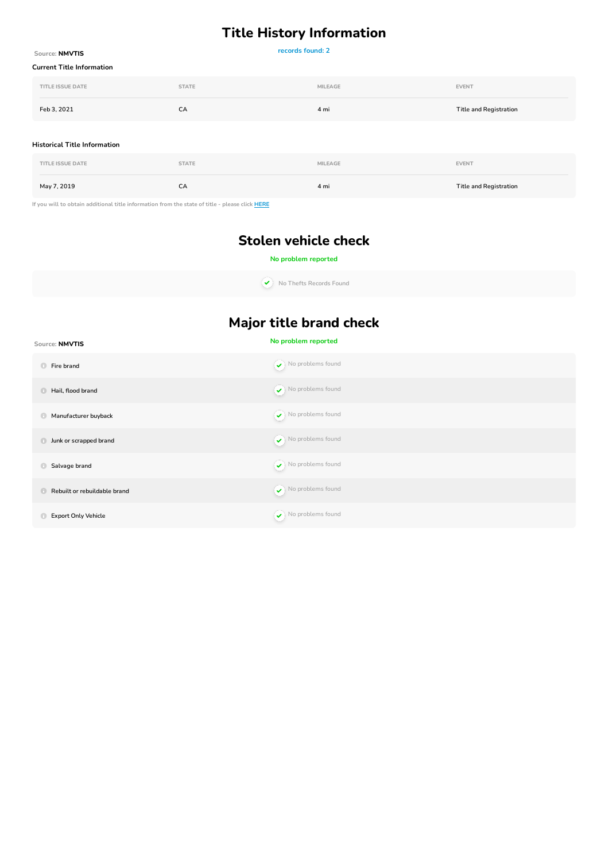# **Title History Information**

| Source: NMVTIS                                                                                 | records found: 2 |                |                               |  |
|------------------------------------------------------------------------------------------------|------------------|----------------|-------------------------------|--|
| <b>Current Title Information</b>                                                               |                  |                |                               |  |
| <b>TITLE ISSUE DATE</b>                                                                        | <b>STATE</b>     | <b>MILEAGE</b> | <b>EVENT</b>                  |  |
| Feb 3, 2021                                                                                    | CA               | 4 mi           | <b>Title and Registration</b> |  |
| <b>Historical Title Information</b>                                                            |                  |                |                               |  |
| <b>TITLE ISSUE DATE</b>                                                                        | <b>STATE</b>     | MILEAGE        | <b>EVENT</b>                  |  |
| May 7, 2019                                                                                    | CA               | 4 mi           | <b>Title and Registration</b> |  |
| If you will to obtain additional title information from the state of title - please click HERE |                  |                |                               |  |

**Stolen vehicle check**

### **No problem reported**

**No Thefts Records Found**

# **Major title brand check**

| Source: NMVTIS                                   | No problem reported                     |
|--------------------------------------------------|-----------------------------------------|
| $\bigcirc$<br>Fire brand                         | $\blacktriangleright$ No problems found |
| Hail, flood brand<br>$\bigcirc$                  | $\blacktriangleright$ No problems found |
| Manufacturer buyback<br>$\bigcirc$               | $\blacktriangleright$ No problems found |
| Junk or scrapped brand<br>$\bullet$              | $\blacktriangleright$ No problems found |
| Salvage brand<br>O                               | $\blacktriangleright$ No problems found |
| Rebuilt or rebuildable brand<br>$\mathbf \oplus$ | $\blacktriangleright$ No problems found |
| <b>Export Only Vehicle</b><br>$\mathbf \bullet$  | $\blacktriangleright$ No problems found |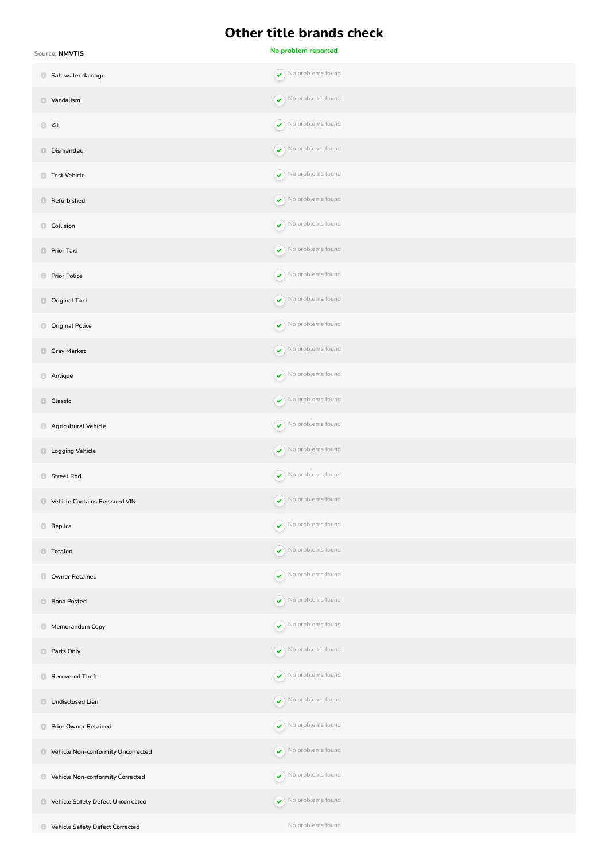## **Other title brands check**

| Source: NMVTIS                             | No problem reported                     |
|--------------------------------------------|-----------------------------------------|
| Salt water damage                          | $\blacktriangleright$ No problems found |
| Vandalism                                  | $\blacktriangleright$ No problems found |
| <b>C</b> Kit                               | $\blacktriangleright$ No problems found |
| <b>Dismantled</b>                          | $\bullet$ No problems found             |
| Test Vehicle                               | $\blacktriangleright$ No problems found |
| Refurbished                                | $\bullet$ No problems found             |
| Collision                                  | $\blacktriangleright$ No problems found |
| <b>Prior Taxi</b>                          | $\blacktriangleright$ No problems found |
| <b>Prior Police</b>                        | $\bullet$ No problems found             |
| <b>Original Taxi</b>                       | $\blacktriangleright$ No problems found |
| <b>Original Police</b>                     | $\blacktriangleright$ No problems found |
| Gray Market                                | $\bullet$ No problems found             |
| Antique                                    | $\blacktriangleright$ No problems found |
| Classic                                    | $\blacktriangleright$ No problems found |
| Agricultural Vehicle                       | $\blacktriangleright$ No problems found |
| <b>Logging Vehicle</b>                     | $\blacktriangleright$ No problems found |
| Street Rod                                 | $\blacktriangleright$ No problems found |
| <b>C</b> Vehicle Contains Reissued VIN     | $\bullet$ No problems found             |
| Replica                                    | $\blacktriangleright$ No problems found |
| <b>Totaled</b>                             | $\blacktriangleright$ No problems found |
| Owner Retained                             | $\blacktriangleright$ No problems found |
| <b>Bond Posted</b>                         | $\blacktriangleright$ No problems found |
| Memorandum Copy                            | $\blacktriangleright$ No problems found |
| <b>Parts Only</b>                          | $\bullet$ No problems found             |
| Recovered Theft                            | $\blacktriangleright$ No problems found |
| Undisclosed Lien                           | $\blacktriangleright$ No problems found |
| Prior Owner Retained                       | $\blacklozenge$ No problems found       |
| Vehicle Non-conformity Uncorrected         | $\blacktriangleright$ No problems found |
| Vehicle Non-conformity Corrected           | $\blacktriangleright$ No problems found |
| <b>D</b> Vehicle Safety Defect Uncorrected | $\blacktriangleright$ No problems found |
| <b>C</b> Vehicle Safety Defect Corrected   | No problems found                       |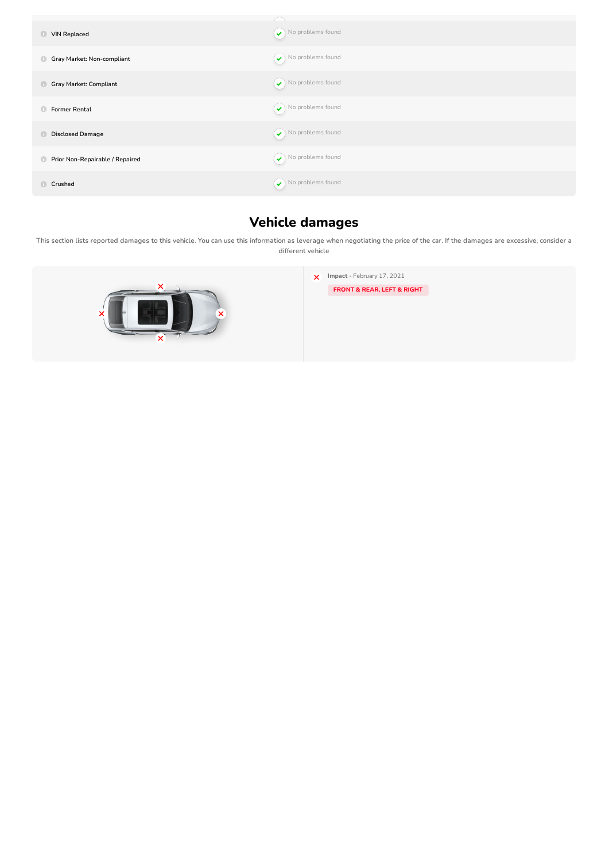| <b>VIN Replaced</b><br>$\bullet$              | $\curvearrowright$<br>$\blacktriangleright$ No problems found |
|-----------------------------------------------|---------------------------------------------------------------|
| Gray Market: Non-compliant<br>$\bigcirc$      | $\blacktriangleright$ No problems found                       |
| <b>Gray Market: Compliant</b><br>$\bigcirc$   | $\blacktriangleright$ No problems found                       |
| <b>Former Rental</b><br>$\bigcirc$            | $\blacktriangleright$ No problems found                       |
| <b>Disclosed Damage</b><br>$\bigcirc$         | $\blacktriangleright$ No problems found                       |
| Prior Non-Repairable / Repaired<br>$\bigcirc$ | $\blacktriangleright$ No problems found                       |
| $\bigoplus$<br>Crushed                        | $\blacktriangleright$ No problems found                       |

# **Vehicle damages**

<span id="page-5-0"></span>This section lists reported damages to this vehicle. You can use this information as leverage when negotiating the price of the car. If the damages are excessive, consider a **different vehicle**

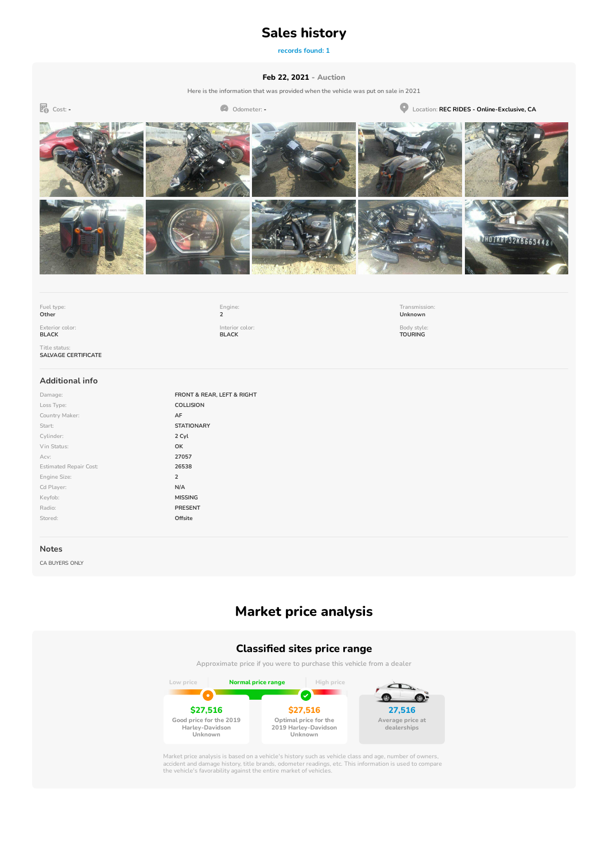### **Sales history**

**records found: 1**

#### **Feb 22, 2021 - Auction**

**Here is the information that was provided when the vehicle was put on sale in 2021**

<span id="page-6-0"></span>**Cost: - Odometer: - Location: REC RIDES - Online-Exclusive, CA** THOTKRP32KB6634

**Fuel type: Other**

**Exterior color: BLACK**

**Engine: 2 Interior color: BLACK**

**Transmission: Unknown Body style: TOURING**

**Title status: SALVAGE CERTIFICATE**

#### **Additional info**

**Damage: FRONT & REAR, LEFT & RIGHT Loss Type: COLLISION Country Maker: AF Start: STATIONARY Cylinder: 2 Cyl Vin Status: OK Acv: 27057 Estimated Repair Cost: 26538 Engine Size: 2 Cd Player: N/A Keyfob: MISSING Radio: PRESENT Stored: Offsite**

#### **Notes**

CA BUYERS ONLY

## **Market price analysis**

#### **Classied sites price range**

**Approximate price if you were to purchase this vehicle from a dealer**



Market price analysis is based on a vehicle's history such as vehicle class and age, number of owners,<br>accident and damage history, title brands, odometer readings, etc. This information is used to compare<br>the vehicle's fa